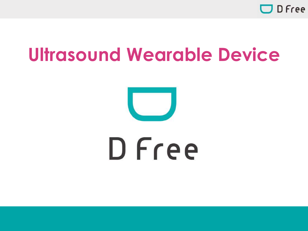

### **Ultrasound Wearable Device**



D Free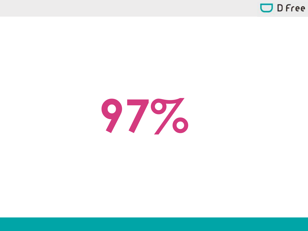

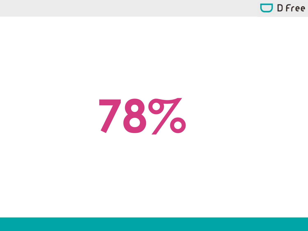

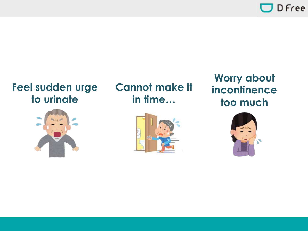

#### **Feel sudden urge to urinate**



#### **Cannot make it in time…**



#### **Worry about incontinence too much**

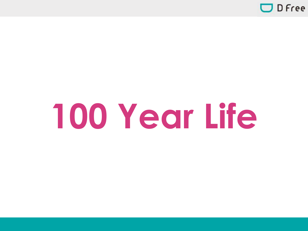

# **100 Year Life**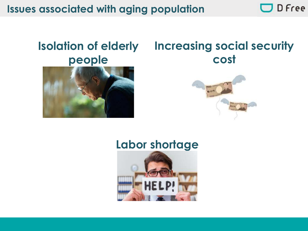#### **Issues associated with aging population**



#### **Increasing social security cost**





#### **Labor shortage**



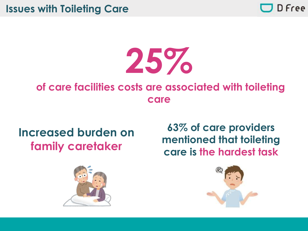**Issues with Toileting Care**





#### **of care facilities costs are associated with toileting care**

#### **Increased burden on family caretaker**



**63% of care providers mentioned that toileting care is the hardest task**

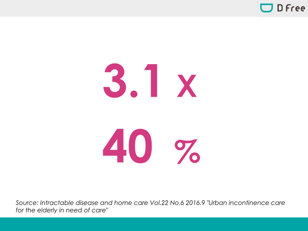

# **3.1 <sup>X</sup> 40 %**

*Source: Intractable disease and home care Vol.22 No.6 2016.9 "Urban incontinence care for the elderly in need of care"*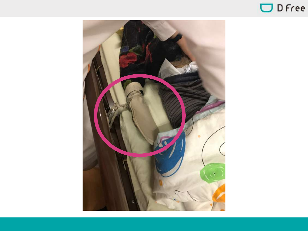

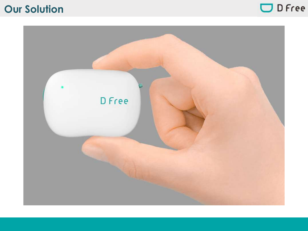#### **Our Solution**



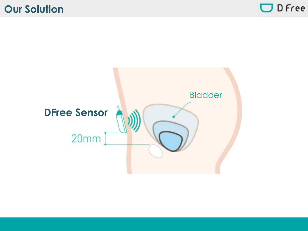#### **Our Solution**



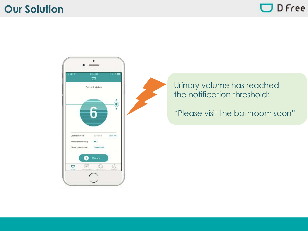#### **Our Solution**





Urinary volume has reached the notification threshold:

#### "Please visit the bathroom soon"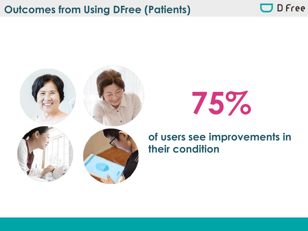#### **Outcomes from Using DFree (Patients)**





 $\Box$  D Free

#### **of users see improvements in their condition**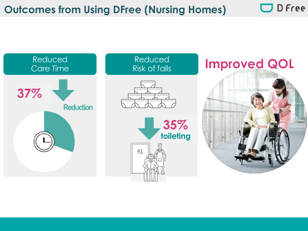#### **Outcomes from Using DFree (Nursing Homes)**



 $\Box$  D Free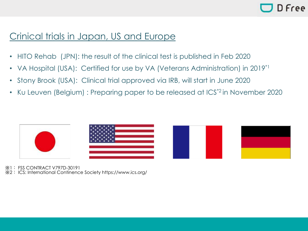

#### Crinical trials in Japan, US and Europe

- HITO Rehab (JPN): the result of the clinical test is published in Feb 2020
- VA Hospital (USA): Certified for use by VA (Veterans Administration) in 2019\*1
- Stony Brook (USA): Clinical trial approved via IRB, will start in June 2020
- Ku Leuven (Belgium) : Preparing paper to be released at ICS\*2 in November 2020



- ※1: FSS CONTRACT V797D-30191
- ※2: ICS: International Continence Society https://www.ics.org/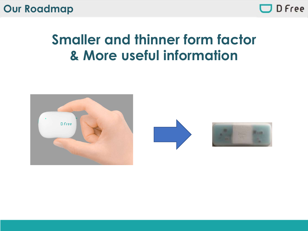**Our Roadmap**



#### **Smaller and thinner form factor & More useful information**





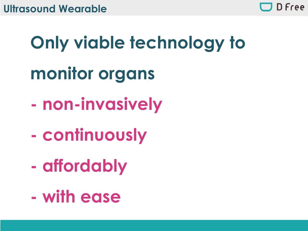

## **Only viable technology to monitor organs**

- **- non-invasively**
- **- continuously**
- **- affordably**
- **- with ease**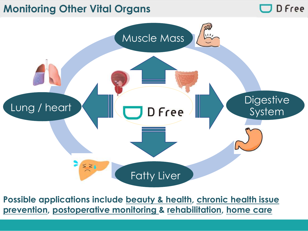#### **Monitoring Other Vital Organs**





**Possible applications include beauty & health, chronic health issue prevention, postoperative monitoring & rehabilitation, home care**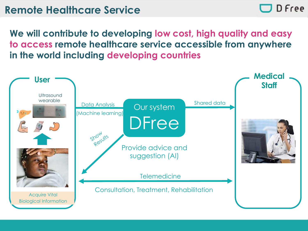#### **Remote Healthcare Service**

**We will contribute to developing low cost, high quality and easy to access remote healthcare service accessible from anywhere in the world including developing countries**

 $\Box$  D Free